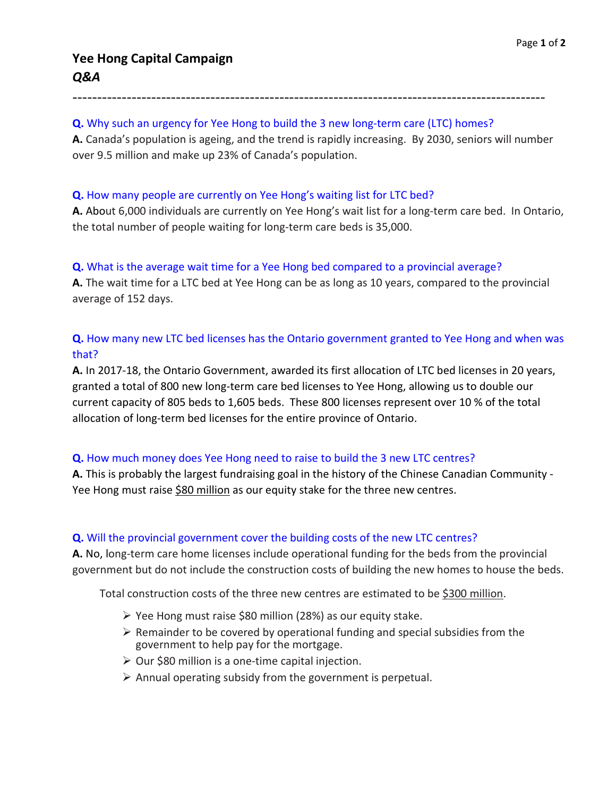------------------------------------------------------------------------------------------------

# **Q.** Why such an urgency for Yee Hong to build the 3 new long-term care (LTC) homes?

**A.** Canada's population is ageing, and the trend is rapidly increasing. By 2030, seniors will number over 9.5 million and make up 23% of Canada's population.

#### **Q.** How many people are currently on Yee Hong's waiting list for LTC bed?

**A.** About 6,000 individuals are currently on Yee Hong's wait list for a long-term care bed. In Ontario, the total number of people waiting for long-term care beds is 35,000.

#### **Q.** What is the average wait time for a Yee Hong bed compared to a provincial average?

**A.** The wait time for a LTC bed at Yee Hong can be as long as 10 years, compared to the provincial average of 152 days.

# **Q.** How many new LTC bed licenses has the Ontario government granted to Yee Hong and when was that?

**A.** In 2017-18, the Ontario Government, awarded its first allocation of LTC bed licenses in 20 years, granted a total of 800 new long-term care bed licenses to Yee Hong, allowing us to double our current capacity of 805 beds to 1,605 beds. These 800 licenses represent over 10 % of the total allocation of long-term bed licenses for the entire province of Ontario.

### **Q.** How much money does Yee Hong need to raise to build the 3 new LTC centres?

**A.** This is probably the largest fundraising goal in the history of the Chinese Canadian Community - Yee Hong must raise \$80 million as our equity stake for the three new centres.

### **Q.** Will the provincial government cover the building costs of the new LTC centres?

**A.** No, long-term care home licenses include operational funding for the beds from the provincial government but do not include the construction costs of building the new homes to house the beds.

Total construction costs of the three new centres are estimated to be \$300 million.

- $\triangleright$  Yee Hong must raise \$80 million (28%) as our equity stake.
- $\triangleright$  Remainder to be covered by operational funding and special subsidies from the government to help pay for the mortgage.
- $\triangleright$  Our \$80 million is a one-time capital injection.
- $\triangleright$  Annual operating subsidy from the government is perpetual.